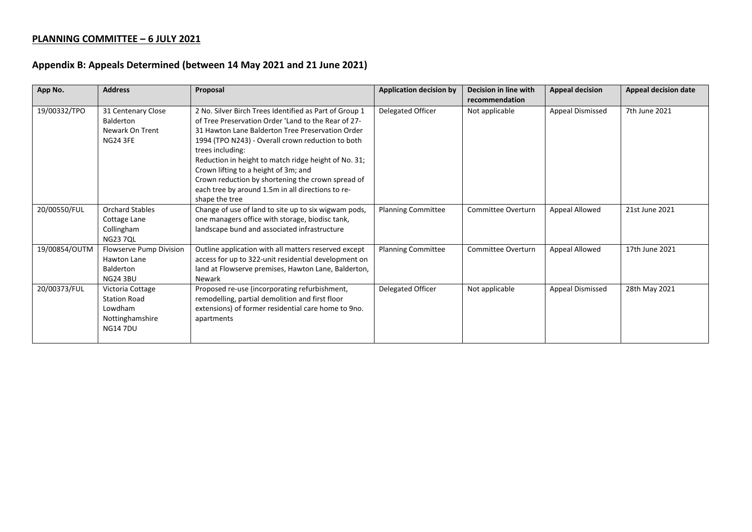## **PLANNING COMMITTEE – 6 JULY 2021**

## **Appendix B: Appeals Determined (between 14 May 2021 and 21 June 2021)**

| App No.       | <b>Address</b>                                                                          | Proposal                                                                                                                                                                                                                                                                                                                                                                                                                                                               | <b>Application decision by</b> | Decision in line with<br>recommendation | <b>Appeal decision</b> | <b>Appeal decision date</b> |
|---------------|-----------------------------------------------------------------------------------------|------------------------------------------------------------------------------------------------------------------------------------------------------------------------------------------------------------------------------------------------------------------------------------------------------------------------------------------------------------------------------------------------------------------------------------------------------------------------|--------------------------------|-----------------------------------------|------------------------|-----------------------------|
| 19/00332/TPO  | 31 Centenary Close<br><b>Balderton</b><br>Newark On Trent<br><b>NG24 3FE</b>            | 2 No. Silver Birch Trees Identified as Part of Group 1<br>of Tree Preservation Order 'Land to the Rear of 27-<br>31 Hawton Lane Balderton Tree Preservation Order<br>1994 (TPO N243) - Overall crown reduction to both<br>trees including:<br>Reduction in height to match ridge height of No. 31;<br>Crown lifting to a height of 3m; and<br>Crown reduction by shortening the crown spread of<br>each tree by around 1.5m in all directions to re-<br>shape the tree | Delegated Officer              | Not applicable                          | Appeal Dismissed       | 7th June 2021               |
| 20/00550/FUL  | <b>Orchard Stables</b><br>Cottage Lane<br>Collingham<br><b>NG23 7QL</b>                 | Change of use of land to site up to six wigwam pods,<br>one managers office with storage, biodisc tank,<br>landscape bund and associated infrastructure                                                                                                                                                                                                                                                                                                                | <b>Planning Committee</b>      | Committee Overturn                      | Appeal Allowed         | 21st June 2021              |
| 19/00854/OUTM | Flowserve Pump Division<br>Hawton Lane<br>Balderton<br><b>NG24 3BU</b>                  | Outline application with all matters reserved except<br>access for up to 322-unit residential development on<br>land at Flowserve premises, Hawton Lane, Balderton,<br>Newark                                                                                                                                                                                                                                                                                          | <b>Planning Committee</b>      | Committee Overturn                      | Appeal Allowed         | 17th June 2021              |
| 20/00373/FUL  | Victoria Cottage<br><b>Station Road</b><br>Lowdham<br>Nottinghamshire<br><b>NG147DU</b> | Proposed re-use (incorporating refurbishment,<br>remodelling, partial demolition and first floor<br>extensions) of former residential care home to 9no.<br>apartments                                                                                                                                                                                                                                                                                                  | Delegated Officer              | Not applicable                          | Appeal Dismissed       | 28th May 2021               |